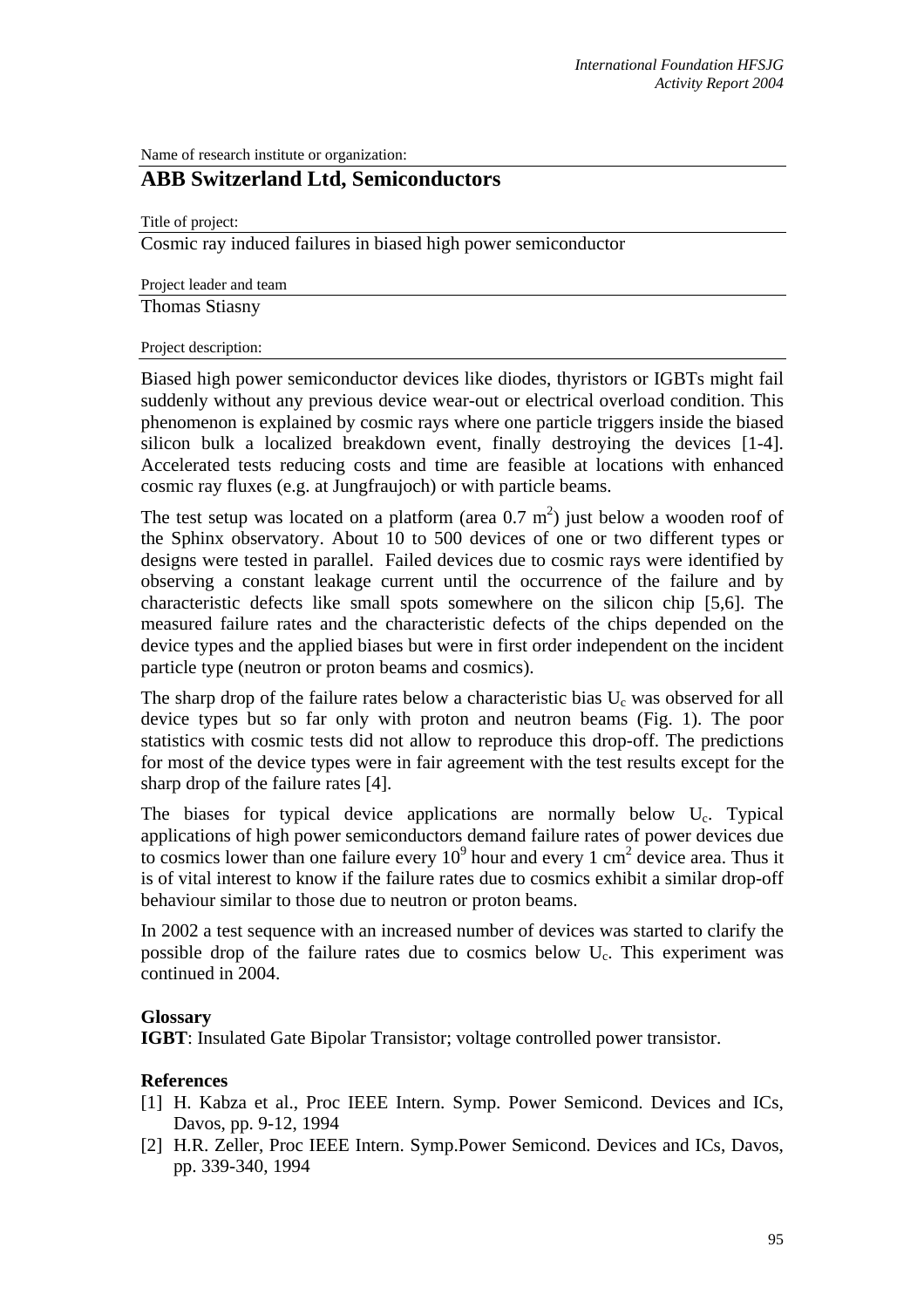Name of research institute or organization:

# **ABB Switzerland Ltd, Semiconductors**

Title of project:

Cosmic ray induced failures in biased high power semiconductor

Project leader and team

Thomas Stiasny

#### Project description:

Biased high power semiconductor devices like diodes, thyristors or IGBTs might fail suddenly without any previous device wear-out or electrical overload condition. This phenomenon is explained by cosmic rays where one particle triggers inside the biased silicon bulk a localized breakdown event, finally destroying the devices [1-4]. Accelerated tests reducing costs and time are feasible at locations with enhanced cosmic ray fluxes (e.g. at Jungfraujoch) or with particle beams.

The test setup was located on a platform (area  $0.7 \text{ m}^2$ ) just below a wooden roof of the Sphinx observatory. About 10 to 500 devices of one or two different types or designs were tested in parallel. Failed devices due to cosmic rays were identified by observing a constant leakage current until the occurrence of the failure and by characteristic defects like small spots somewhere on the silicon chip [5,6]. The measured failure rates and the characteristic defects of the chips depended on the device types and the applied biases but were in first order independent on the incident particle type (neutron or proton beams and cosmics).

The sharp drop of the failure rates below a characteristic bias  $U_c$  was observed for all device types but so far only with proton and neutron beams (Fig. 1). The poor statistics with cosmic tests did not allow to reproduce this drop-off. The predictions for most of the device types were in fair agreement with the test results except for the sharp drop of the failure rates [4].

The biases for typical device applications are normally below  $U_c$ . Typical applications of high power semiconductors demand failure rates of power devices due to cosmics lower than one failure every  $10^9$  hour and every 1 cm<sup>2</sup> device area. Thus it is of vital interest to know if the failure rates due to cosmics exhibit a similar drop-off behaviour similar to those due to neutron or proton beams.

In 2002 a test sequence with an increased number of devices was started to clarify the possible drop of the failure rates due to cosmics below Uc. This experiment was continued in 2004.

## **Glossary**

**IGBT**: Insulated Gate Bipolar Transistor; voltage controlled power transistor.

## **References**

- [1] H. Kabza et al., Proc IEEE Intern. Symp. Power Semicond. Devices and ICs, Davos, pp. 9-12, 1994
- [2] H.R. Zeller, Proc IEEE Intern. Symp.Power Semicond. Devices and ICs, Davos, pp. 339-340, 1994